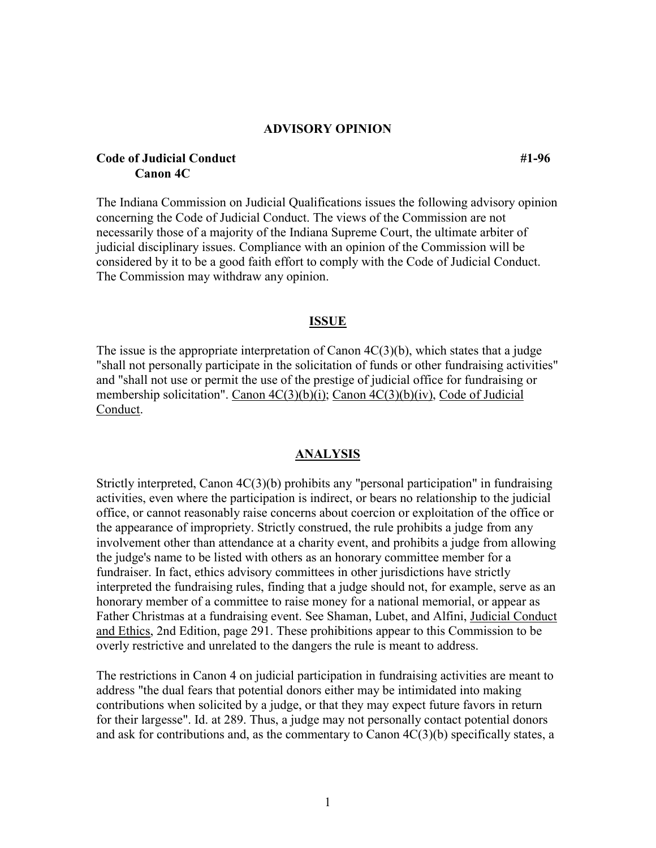## **ADVISORY OPINION**

# **Code of Judicial Conduct** #1-96 **Canon 4C**

The Indiana Commission on Judicial Qualifications issues the following advisory opinion concerning the Code of Judicial Conduct. The views of the Commission are not necessarily those of a majority of the Indiana Supreme Court, the ultimate arbiter of judicial disciplinary issues. Compliance with an opinion of the Commission will be considered by it to be a good faith effort to comply with the Code of Judicial Conduct. The Commission may withdraw any opinion.

## **ISSUE**

The issue is the appropriate interpretation of Canon  $4C(3)(b)$ , which states that a judge "shall not personally participate in the solicitation of funds or other fundraising activities" and "shall not use or permit the use of the prestige of judicial office for fundraising or membership solicitation". Canon 4C(3)(b)(i); Canon 4C(3)(b)(iv), Code of Judicial Conduct.

### **ANALYSIS**

Strictly interpreted, Canon 4C(3)(b) prohibits any "personal participation" in fundraising activities, even where the participation is indirect, or bears no relationship to the judicial office, or cannot reasonably raise concerns about coercion or exploitation of the office or the appearance of impropriety. Strictly construed, the rule prohibits a judge from any involvement other than attendance at a charity event, and prohibits a judge from allowing the judge's name to be listed with others as an honorary committee member for a fundraiser. In fact, ethics advisory committees in other jurisdictions have strictly interpreted the fundraising rules, finding that a judge should not, for example, serve as an honorary member of a committee to raise money for a national memorial, or appear as Father Christmas at a fundraising event. See Shaman, Lubet, and Alfini, Judicial Conduct and Ethics, 2nd Edition, page 291. These prohibitions appear to this Commission to be overly restrictive and unrelated to the dangers the rule is meant to address.

The restrictions in Canon 4 on judicial participation in fundraising activities are meant to address "the dual fears that potential donors either may be intimidated into making contributions when solicited by a judge, or that they may expect future favors in return for their largesse". Id. at 289. Thus, a judge may not personally contact potential donors and ask for contributions and, as the commentary to Canon 4C(3)(b) specifically states, a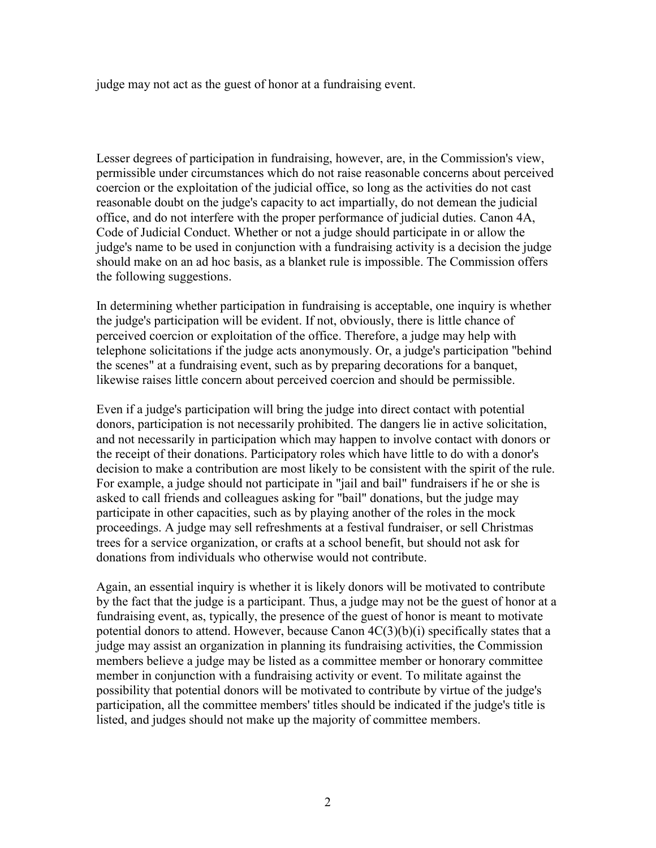judge may not act as the guest of honor at a fundraising event.

Lesser degrees of participation in fundraising, however, are, in the Commission's view, permissible under circumstances which do not raise reasonable concerns about perceived coercion or the exploitation of the judicial office, so long as the activities do not cast reasonable doubt on the judge's capacity to act impartially, do not demean the judicial office, and do not interfere with the proper performance of judicial duties. Canon 4A, Code of Judicial Conduct. Whether or not a judge should participate in or allow the judge's name to be used in conjunction with a fundraising activity is a decision the judge should make on an ad hoc basis, as a blanket rule is impossible. The Commission offers the following suggestions.

In determining whether participation in fundraising is acceptable, one inquiry is whether the judge's participation will be evident. If not, obviously, there is little chance of perceived coercion or exploitation of the office. Therefore, a judge may help with telephone solicitations if the judge acts anonymously. Or, a judge's participation "behind the scenes" at a fundraising event, such as by preparing decorations for a banquet, likewise raises little concern about perceived coercion and should be permissible.

Even if a judge's participation will bring the judge into direct contact with potential donors, participation is not necessarily prohibited. The dangers lie in active solicitation, and not necessarily in participation which may happen to involve contact with donors or the receipt of their donations. Participatory roles which have little to do with a donor's decision to make a contribution are most likely to be consistent with the spirit of the rule. For example, a judge should not participate in "jail and bail" fundraisers if he or she is asked to call friends and colleagues asking for "bail" donations, but the judge may participate in other capacities, such as by playing another of the roles in the mock proceedings. A judge may sell refreshments at a festival fundraiser, or sell Christmas trees for a service organization, or crafts at a school benefit, but should not ask for donations from individuals who otherwise would not contribute.

Again, an essential inquiry is whether it is likely donors will be motivated to contribute by the fact that the judge is a participant. Thus, a judge may not be the guest of honor at a fundraising event, as, typically, the presence of the guest of honor is meant to motivate potential donors to attend. However, because Canon 4C(3)(b)(i) specifically states that a judge may assist an organization in planning its fundraising activities, the Commission members believe a judge may be listed as a committee member or honorary committee member in conjunction with a fundraising activity or event. To militate against the possibility that potential donors will be motivated to contribute by virtue of the judge's participation, all the committee members' titles should be indicated if the judge's title is listed, and judges should not make up the majority of committee members.